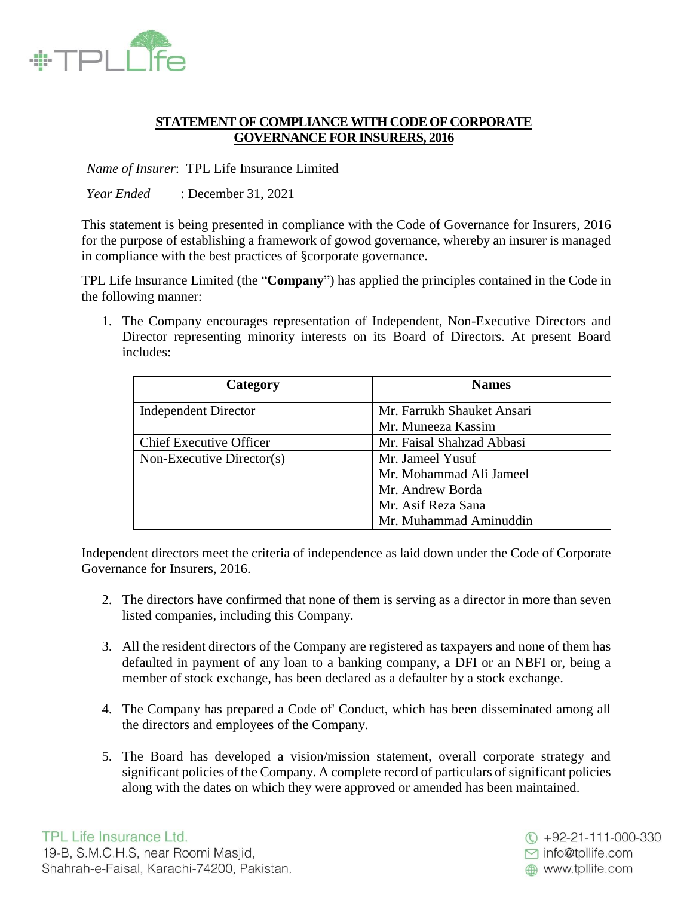

# **STATEMENT OF COMPLIANCE WITH CODE OF CORPORATE GOVERNANCE FOR INSURERS, 2016**

*Name of Insurer*: TPL Life Insurance Limited

*Year Ended* : December 31, 2021

This statement is being presented in compliance with the Code of Governance for Insurers, 2016 for the purpose of establishing a framework of gowod governance, whereby an insurer is managed in compliance with the best practices of §corporate governance.

TPL Life Insurance Limited (the "**Company**") has applied the principles contained in the Code in the following manner:

1. The Company encourages representation of Independent, Non-Executive Directors and Director representing minority interests on its Board of Directors. At present Board includes:

| Category                       | <b>Names</b>               |
|--------------------------------|----------------------------|
| <b>Independent Director</b>    | Mr. Farrukh Shauket Ansari |
|                                | Mr. Muneeza Kassim         |
| <b>Chief Executive Officer</b> | Mr. Faisal Shahzad Abbasi  |
| Non-Executive Director(s)      | Mr. Jameel Yusuf           |
|                                | Mr. Mohammad Ali Jameel    |
|                                | Mr. Andrew Borda           |
|                                | Mr. Asif Reza Sana         |
|                                | Mr. Muhammad Aminuddin     |

Independent directors meet the criteria of independence as laid down under the Code of Corporate Governance for Insurers, 2016.

- 2. The directors have confirmed that none of them is serving as a director in more than seven listed companies, including this Company.
- 3. All the resident directors of the Company are registered as taxpayers and none of them has defaulted in payment of any loan to a banking company, a DFI or an NBFI or, being a member of stock exchange, has been declared as a defaulter by a stock exchange.
- 4. The Company has prepared a Code of' Conduct, which has been disseminated among all the directors and employees of the Company.
- 5. The Board has developed a vision/mission statement, overall corporate strategy and significant policies of the Company. A complete record of particulars of significant policies along with the dates on which they were approved or amended has been maintained.

 $\textcircled{ }$  +92-21-111-000-330 ◘ info@tpllife.com www.tpllife.com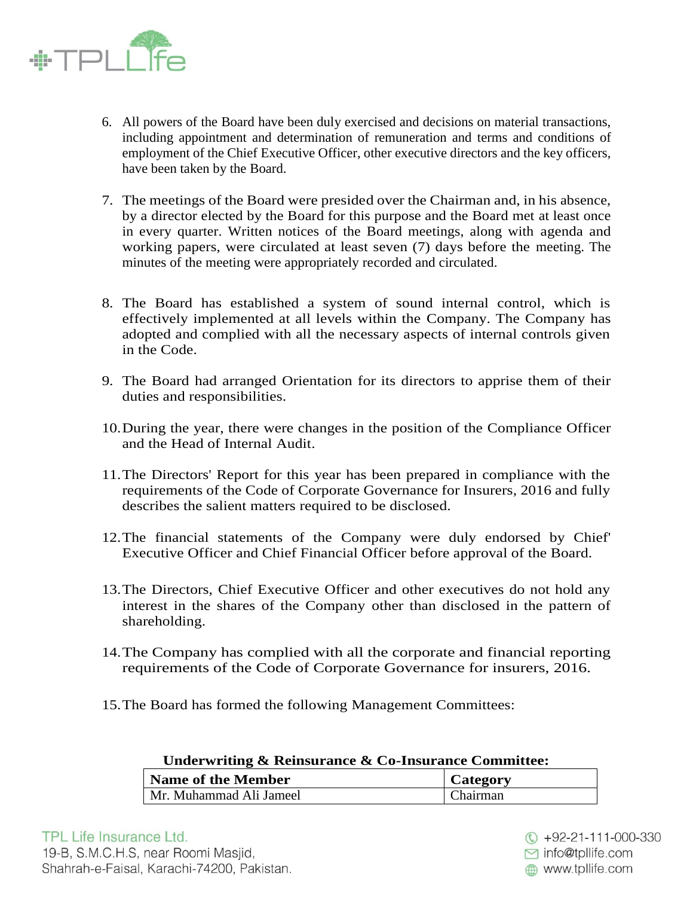

- 6. All powers of the Board have been duly exercised and decisions on material transactions, including appointment and determination of remuneration and terms and conditions of employment of the Chief Executive Officer, other executive directors and the key officers, have been taken by the Board.
- 7. The meetings of the Board were presided over the Chairman and, in his absence, by a director elected by the Board for this purpose and the Board met at least once in every quarter. Written notices of the Board meetings, along with agenda and working papers, were circulated at least seven (7) days before the meeting. The minutes of the meeting were appropriately recorded and circulated.
- 8. The Board has established a system of sound internal control, which is effectively implemented at all levels within the Company. The Company has adopted and complied with all the necessary aspects of internal controls given in the Code.
- 9. The Board had arranged Orientation for its directors to apprise them of their duties and responsibilities.
- 10.During the year, there were changes in the position of the Compliance Officer and the Head of Internal Audit.
- 11.The Directors' Report for this year has been prepared in compliance with the requirements of the Code of Corporate Governance for Insurers, 2016 and fully describes the salient matters required to be disclosed.
- 12.The financial statements of the Company were duly endorsed by Chief' Executive Officer and Chief Financial Officer before approval of the Board.
- 13.The Directors, Chief Executive Officer and other executives do not hold any interest in the shares of the Company other than disclosed in the pattern of shareholding.
- 14.The Company has complied with all the corporate and financial reporting requirements of the Code of Corporate Governance for insurers, 2016.
- 15.The Board has formed the following Management Committees:

| Underwriting & Reinsurance & Co-Insurance Committee: |                 |
|------------------------------------------------------|-----------------|
| <b>Name of the Member</b>                            | <b>Category</b> |
| Mr. Muhammad Ali Jameel                              | Chairman        |

 $\textcircled{ }$  +92-21-111-000-330 ◘ info@tpllife.com www.tpllife.com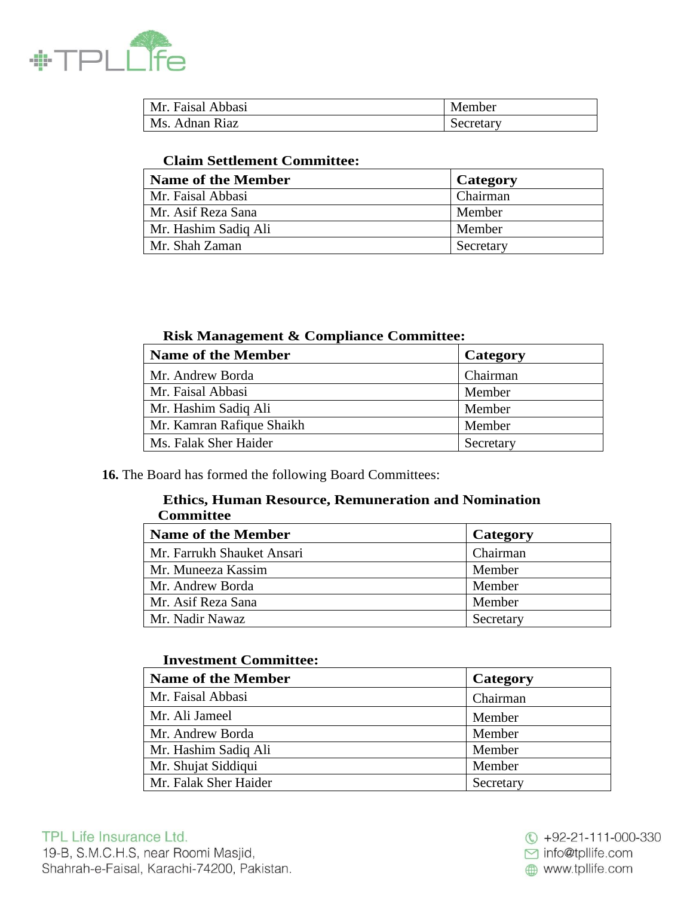

| Mr. Faisal Abbasi | Member    |
|-------------------|-----------|
| Ms. Adnan Riaz    | Secretary |

# **Claim Settlement Committee:**

| Name of the Member   | <b>Category</b> |
|----------------------|-----------------|
| Mr. Faisal Abbasi    | Chairman        |
| Mr. Asif Reza Sana   | Member          |
| Mr. Hashim Sadiq Ali | Member          |
| Mr. Shah Zaman       | Secretary       |

### **Risk Management & Compliance Committee:**

| <b>Name of the Member</b> | Category  |
|---------------------------|-----------|
| Mr. Andrew Borda          | Chairman  |
| Mr. Faisal Abbasi         | Member    |
| Mr. Hashim Sadiq Ali      | Member    |
| Mr. Kamran Rafique Shaikh | Member    |
| Ms. Falak Sher Haider     | Secretary |

**16.** The Board has formed the following Board Committees:

#### **Ethics, Human Resource, Remuneration and Nomination Committee**

| <b>Name of the Member</b>  | Category  |
|----------------------------|-----------|
| Mr. Farrukh Shauket Ansari | Chairman  |
| Mr. Muneeza Kassim         | Member    |
| Mr. Andrew Borda           | Member    |
| Mr. Asif Reza Sana         | Member    |
| Mr. Nadir Nawaz            | Secretary |

### **Investment Committee:**

| <b>Name of the Member</b> | Category  |
|---------------------------|-----------|
| Mr. Faisal Abbasi         | Chairman  |
| Mr. Ali Jameel            | Member    |
| Mr. Andrew Borda          | Member    |
| Mr. Hashim Sadiq Ali      | Member    |
| Mr. Shujat Siddiqui       | Member    |
| Mr. Falak Sher Haider     | Secretary |

 $\circledR$  +92-21-111-000-330 □ info@tpllife.com www.tpllife.com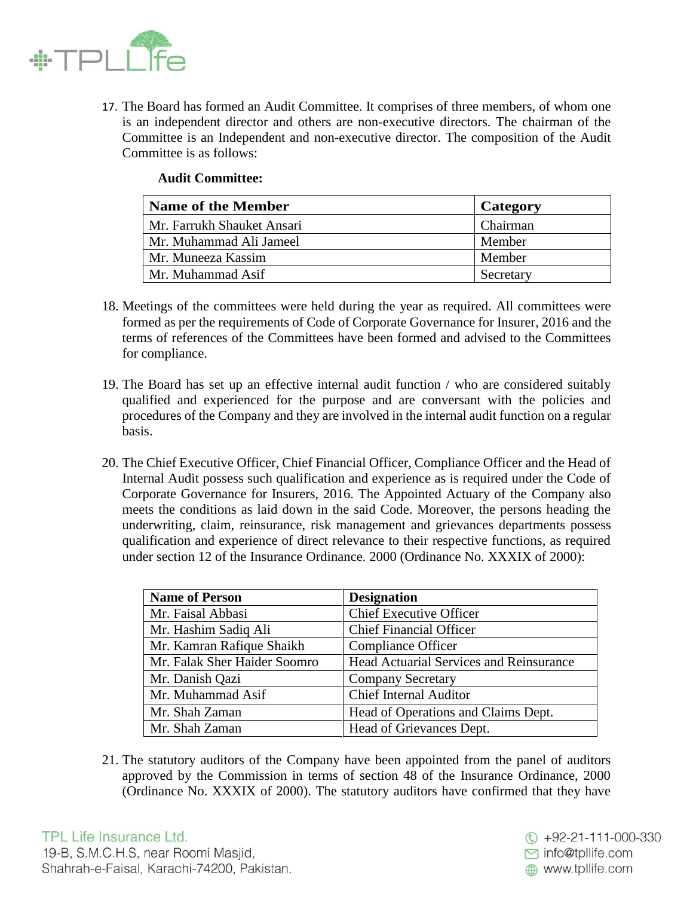

17. The Board has formed an Audit Committee. It comprises of three members, of whom one is an independent director and others are non-executive directors. The chairman of the Committee is an Independent and non-executive director. The composition of the Audit Committee is as follows:

|  | <b>Audit Committee:</b> |
|--|-------------------------|
|--|-------------------------|

| Name of the Member         | Category  |
|----------------------------|-----------|
| Mr. Farrukh Shauket Ansari | Chairman  |
| Mr. Muhammad Ali Jameel    | Member    |
| Mr. Muneeza Kassim         | Member    |
| Mr. Muhammad Asif          | Secretary |

- 18. Meetings of the committees were held during the year as required. All committees were formed as per the requirements of Code of Corporate Governance for Insurer, 2016 and the terms of references of the Committees have been formed and advised to the Committees for compliance.
- 19. The Board has set up an effective internal audit function / who are considered suitably qualified and experienced for the purpose and are conversant with the policies and procedures of the Company and they are involved in the internal audit function on a regular basis.
- 20. The Chief Executive Officer, Chief Financial Officer, Compliance Officer and the Head of Internal Audit possess such qualification and experience as is required under the Code of Corporate Governance for Insurers, 2016. The Appointed Actuary of the Company also meets the conditions as laid down in the said Code. Moreover, the persons heading the underwriting, claim, reinsurance, risk management and grievances departments possess qualification and experience of direct relevance to their respective functions, as required under section 12 of the Insurance Ordinance. 2000 (Ordinance No. XXXIX of 2000):

| <b>Name of Person</b>        | <b>Designation</b>                             |
|------------------------------|------------------------------------------------|
| Mr. Faisal Abbasi            | <b>Chief Executive Officer</b>                 |
| Mr. Hashim Sadiq Ali         | <b>Chief Financial Officer</b>                 |
| Mr. Kamran Rafique Shaikh    | Compliance Officer                             |
| Mr. Falak Sher Haider Soomro | <b>Head Actuarial Services and Reinsurance</b> |
| Mr. Danish Qazi              | <b>Company Secretary</b>                       |
| Mr. Muhammad Asif            | <b>Chief Internal Auditor</b>                  |
| Mr. Shah Zaman               | Head of Operations and Claims Dept.            |
| Mr. Shah Zaman               | Head of Grievances Dept.                       |

21. The statutory auditors of the Company have been appointed from the panel of auditors approved by the Commission in terms of section 48 of the Insurance Ordinance, 2000 (Ordinance No. XXXIX of 2000). The statutory auditors have confirmed that they have

◘ info@tpllife.com

www.tpllife.com